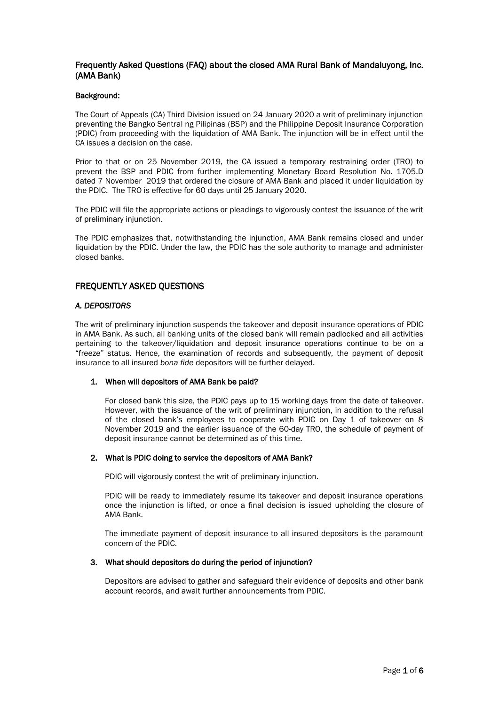# Frequently Asked Questions (FAQ) about the closed AMA Rural Bank of Mandaluyong, Inc. (AMA Bank)

### Background:

The Court of Appeals (CA) Third Division issued on 24 January 2020 a writ of preliminary injunction preventing the Bangko Sentral ng Pilipinas (BSP) and the Philippine Deposit Insurance Corporation (PDIC) from proceeding with the liquidation of AMA Bank. The injunction will be in effect until the CA issues a decision on the case.

Prior to that or on 25 November 2019, the CA issued a temporary restraining order (TRO) to prevent the BSP and PDIC from further implementing Monetary Board Resolution No. 1705.D dated 7 November 2019 that ordered the closure of AMA Bank and placed it under liquidation by the PDIC. The TRO is effective for 60 days until 25 January 2020.

The PDIC will file the appropriate actions or pleadings to vigorously contest the issuance of the writ of preliminary injunction.

The PDIC emphasizes that, notwithstanding the injunction, AMA Bank remains closed and under liquidation by the PDIC. Under the law, the PDIC has the sole authority to manage and administer closed banks.

# FREQUENTLY ASKED QUESTIONS

## *A. DEPOSITORS*

The writ of preliminary injunction suspends the takeover and deposit insurance operations of PDIC in AMA Bank. As such, all banking units of the closed bank will remain padlocked and all activities pertaining to the takeover/liquidation and deposit insurance operations continue to be on a "freeze" status. Hence, the examination of records and subsequently, the payment of deposit insurance to all insured *bona fide* depositors will be further delayed.

## 1. When will depositors of AMA Bank be paid?

For closed bank this size, the PDIC pays up to 15 working days from the date of takeover. However, with the issuance of the writ of preliminary injunction, in addition to the refusal of the closed bank's employees to cooperate with PDIC on Day 1 of takeover on 8 November 2019 and the earlier issuance of the 60-day TRO, the schedule of payment of deposit insurance cannot be determined as of this time.

#### 2. What is PDIC doing to service the depositors of AMA Bank?

PDIC will vigorously contest the writ of preliminary injunction.

PDIC will be ready to immediately resume its takeover and deposit insurance operations once the injunction is lifted, or once a final decision is issued upholding the closure of AMA Bank.

The immediate payment of deposit insurance to all insured depositors is the paramount concern of the PDIC.

#### 3. What should depositors do during the period of injunction?

Depositors are advised to gather and safeguard their evidence of deposits and other bank account records, and await further announcements from PDIC.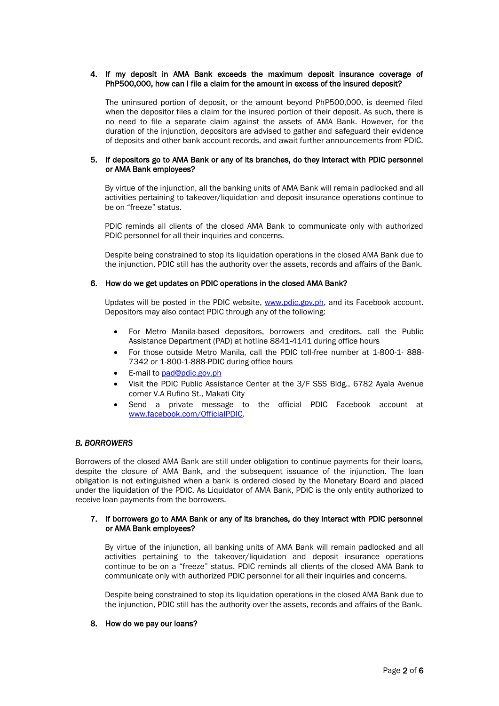## 4. If my deposit in AMA Bank exceeds the maximum deposit insurance coverage of PhP500,000, how can I file a claim for the amount in excess of the insured deposit?

The uninsured portion of deposit, or the amount beyond PhP500,000, is deemed filed when the depositor files a claim for the insured portion of their deposit. As such, there is no need to file a separate claim against the assets of AMA Bank. However, for the duration of the injunction, depositors are advised to gather and safeguard their evidence of deposits and other bank account records, and await further announcements from PDIC.

### 5. If depositors go to AMA Bank or any of its branches, do they interact with PDIC personnel or AMA Bank employees?

By virtue of the injunction, all the banking units of AMA Bank will remain padlocked and all activities pertaining to takeover/liquidation and deposit insurance operations continue to be on "freeze" status.

PDIC reminds all clients of the closed AMA Bank to communicate only with authorized PDIC personnel for all their inquiries and concerns.

Despite being constrained to stop its liquidation operations in the closed AMA Bank due to the injunction, PDIC still has the authority over the assets, records and affairs of the Bank.

### 6. How do we get updates on PDIC operations in the closed AMA Bank?

Updates will be posted in the PDIC website, [www.pdic.gov.ph,](http://www.pdic.gov.ph/) and its Facebook account. Depositors may also contact PDIC through any of the following:

- For Metro Manila-based depositors, borrowers and creditors, call the Public Assistance Department (PAD) at hotline 8841-4141 during office hours
- For those outside Metro Manila, call the PDIC toll-free number at 1-800-1- 888- 7342 or 1-800-1-888-PDIC during office hours
- E-mail to [pad@pdic.gov.ph](mailto:pad@pdic.gov.ph)
- Visit the PDIC Public Assistance Center at the 3/F SSS Bldg., 6782 Ayala Avenue corner V.A Rufino St., Makati City
- Send a private message to the official PDIC Facebook account at [www.facebook.com/OfficialPDIC.](http://www.facebook.com/OfficialPDIC)

## *B. BORROWERS*

Borrowers of the closed AMA Bank are still under obligation to continue payments for their loans, despite the closure of AMA Bank, and the subsequent issuance of the injunction. The loan obligation is not extinguished when a bank is ordered closed by the Monetary Board and placed under the liquidation of the PDIC. As Liquidator of AMA Bank, PDIC is the only entity authorized to receive loan payments from the borrowers.

### 7. If borrowers go to AMA Bank or any of its branches, do they interact with PDIC personnel or AMA Bank employees?

By virtue of the injunction, all banking units of AMA Bank will remain padlocked and all activities pertaining to the takeover/liquidation and deposit insurance operations continue to be on a "freeze" status. PDIC reminds all clients of the closed AMA Bank to communicate only with authorized PDIC personnel for all their inquiries and concerns.

Despite being constrained to stop its liquidation operations in the closed AMA Bank due to the injunction, PDIC still has the authority over the assets, records and affairs of the Bank.

#### 8. How do we pay our loans?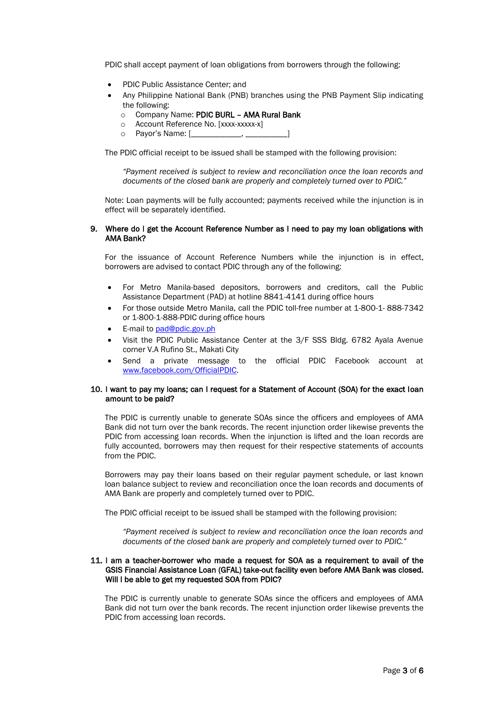PDIC shall accept payment of loan obligations from borrowers through the following:

- PDIC Public Assistance Center; and
- Any Philippine National Bank (PNB) branches using the PNB Payment Slip indicating the following:
	- o Company Name: PDIC BURL AMA Rural Bank
	- o Account Reference No. [xxxx-xxxxx-x]
	- o Payor's Name: [\_\_\_\_\_\_\_\_\_\_\_\_, \_\_\_\_\_\_\_\_\_\_]

The PDIC official receipt to be issued shall be stamped with the following provision:

*"Payment received is subject to review and reconciliation once the loan records and documents of the closed bank are properly and completely turned over to PDIC."* 

Note: Loan payments will be fully accounted; payments received while the injunction is in effect will be separately identified.

### 9. Where do I get the Account Reference Number as I need to pay my loan obligations with AMA Bank?

For the issuance of Account Reference Numbers while the injunction is in effect, borrowers are advised to contact PDIC through any of the following:

- For Metro Manila-based depositors, borrowers and creditors, call the Public Assistance Department (PAD) at hotline 8841-4141 during office hours
- For those outside Metro Manila, call the PDIC toll-free number at 1-800-1- 888-7342 or 1-800-1-888-PDIC during office hours
- E-mail to [pad@pdic.gov.ph](mailto:pad@pdic.gov.ph)
- Visit the PDIC Public Assistance Center at the 3/F SSS Bldg. 6782 Ayala Avenue corner V.A Rufino St., Makati City
- Send a private message to the official PDIC Facebook account at [www.facebook.com/OfficialPDIC.](http://www.facebook.com/OfficialPDIC)

### 10. I want to pay my loans; can I request for a Statement of Account (SOA) for the exact loan amount to be paid?

The PDIC is currently unable to generate SOAs since the officers and employees of AMA Bank did not turn over the bank records. The recent injunction order likewise prevents the PDIC from accessing loan records. When the injunction is lifted and the loan records are fully accounted, borrowers may then request for their respective statements of accounts from the PDIC.

Borrowers may pay their loans based on their regular payment schedule, or last known loan balance subject to review and reconciliation once the loan records and documents of AMA Bank are properly and completely turned over to PDIC.

The PDIC official receipt to be issued shall be stamped with the following provision:

*"Payment received is subject to review and reconciliation once the loan records and documents of the closed bank are properly and completely turned over to PDIC."* 

### 11. I am a teacher-borrower who made a request for SOA as a requirement to avail of the GSIS Financial Assistance Loan (GFAL) take-out facility even before AMA Bank was closed. Will I be able to get my requested SOA from PDIC?

The PDIC is currently unable to generate SOAs since the officers and employees of AMA Bank did not turn over the bank records. The recent injunction order likewise prevents the PDIC from accessing loan records.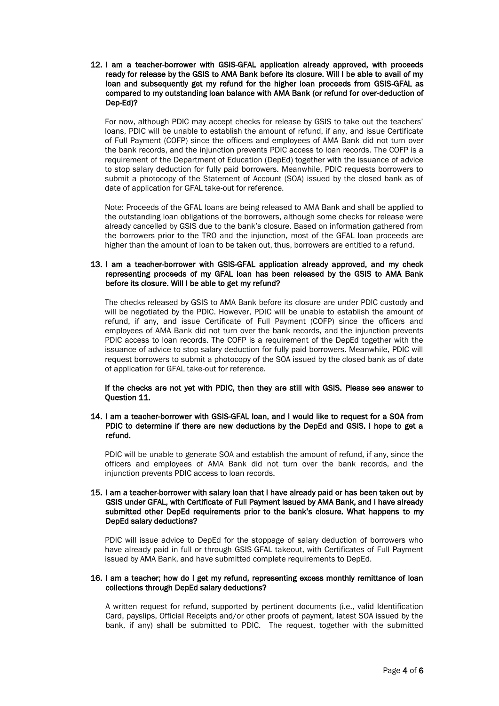12. I am a teacher-borrower with GSIS-GFAL application already approved, with proceeds ready for release by the GSIS to AMA Bank before its closure. Will I be able to avail of my loan and subsequently get my refund for the higher loan proceeds from GSIS-GFAL as compared to my outstanding loan balance with AMA Bank (or refund for over-deduction of Dep-Ed)?

For now, although PDIC may accept checks for release by GSIS to take out the teachers' loans, PDIC will be unable to establish the amount of refund, if any, and issue Certificate of Full Payment (COFP) since the officers and employees of AMA Bank did not turn over the bank records, and the injunction prevents PDIC access to loan records. The COFP is a requirement of the Department of Education (DepEd) together with the issuance of advice to stop salary deduction for fully paid borrowers. Meanwhile, PDIC requests borrowers to submit a photocopy of the Statement of Account (SOA) issued by the closed bank as of date of application for GFAL take-out for reference.

Note: Proceeds of the GFAL loans are being released to AMA Bank and shall be applied to the outstanding loan obligations of the borrowers, although some checks for release were already cancelled by GSIS due to the bank's closure. Based on information gathered from the borrowers prior to the TRO and the injunction, most of the GFAL loan proceeds are higher than the amount of loan to be taken out, thus, borrowers are entitled to a refund.

## 13. I am a teacher-borrower with GSIS-GFAL application already approved, and my check representing proceeds of my GFAL loan has been released by the GSIS to AMA Bank before its closure. Will I be able to get my refund?

The checks released by GSIS to AMA Bank before its closure are under PDIC custody and will be negotiated by the PDIC. However, PDIC will be unable to establish the amount of refund, if any, and issue Certificate of Full Payment (COFP) since the officers and employees of AMA Bank did not turn over the bank records, and the injunction prevents PDIC access to loan records. The COFP is a requirement of the DepEd together with the issuance of advice to stop salary deduction for fully paid borrowers. Meanwhile, PDIC will request borrowers to submit a photocopy of the SOA issued by the closed bank as of date of application for GFAL take-out for reference.

If the checks are not yet with PDIC, then they are still with GSIS. Please see answer to Question 11.

## 14. I am a teacher-borrower with GSIS-GFAL loan, and I would like to request for a SOA from PDIC to determine if there are new deductions by the DepEd and GSIS. I hope to get a refund.

PDIC will be unable to generate SOA and establish the amount of refund, if any, since the officers and employees of AMA Bank did not turn over the bank records, and the injunction prevents PDIC access to loan records.

## 15. I am a teacher-borrower with salary loan that I have already paid or has been taken out by GSIS under GFAL, with Certificate of Full Payment issued by AMA Bank, and I have already submitted other DepEd requirements prior to the bank's closure. What happens to my DepEd salary deductions?

PDIC will issue advice to DepEd for the stoppage of salary deduction of borrowers who have already paid in full or through GSIS-GFAL takeout, with Certificates of Full Payment issued by AMA Bank, and have submitted complete requirements to DepEd.

### 16. I am a teacher; how do I get my refund, representing excess monthly remittance of loan collections through DepEd salary deductions?

A written request for refund, supported by pertinent documents (i.e., valid Identification Card, payslips, Official Receipts and/or other proofs of payment, latest SOA issued by the bank, if any) shall be submitted to PDIC. The request, together with the submitted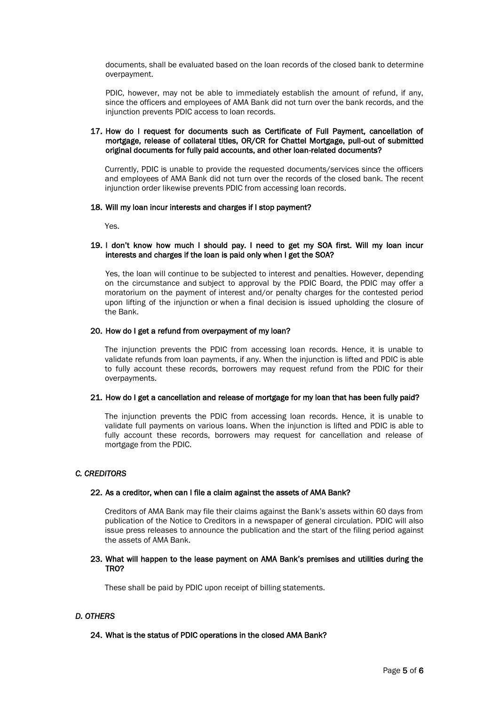documents, shall be evaluated based on the loan records of the closed bank to determine overpayment.

PDIC, however, may not be able to immediately establish the amount of refund, if any, since the officers and employees of AMA Bank did not turn over the bank records, and the injunction prevents PDIC access to loan records.

### 17. How do I request for documents such as Certificate of Full Payment, cancellation of mortgage, release of collateral titles, OR/CR for Chattel Mortgage, pull-out of submitted original documents for fully paid accounts, and other loan-related documents?

Currently, PDIC is unable to provide the requested documents/services since the officers and employees of AMA Bank did not turn over the records of the closed bank. The recent injunction order likewise prevents PDIC from accessing loan records.

### 18. Will my loan incur interests and charges if I stop payment?

Yes.

### 19. I don't know how much I should pay. I need to get my SOA first. Will my loan incur interests and charges if the loan is paid only when I get the SOA?

Yes, the loan will continue to be subjected to interest and penalties. However, depending on the circumstance and subject to approval by the PDIC Board, the PDIC may offer a moratorium on the payment of interest and/or penalty charges for the contested period upon lifting of the injunction or when a final decision is issued upholding the closure of the Bank.

### 20. How do I get a refund from overpayment of my loan?

The injunction prevents the PDIC from accessing loan records. Hence, it is unable to validate refunds from loan payments, if any. When the injunction is lifted and PDIC is able to fully account these records, borrowers may request refund from the PDIC for their overpayments.

#### 21. How do I get a cancellation and release of mortgage for my loan that has been fully paid?

The injunction prevents the PDIC from accessing loan records. Hence, it is unable to validate full payments on various loans. When the injunction is lifted and PDIC is able to fully account these records, borrowers may request for cancellation and release of mortgage from the PDIC.

## *C. CREDITORS*

## 22. As a creditor, when can I file a claim against the assets of AMA Bank?

Creditors of AMA Bank may file their claims against the Bank's assets within 60 days from publication of the Notice to Creditors in a newspaper of general circulation. PDIC will also issue press releases to announce the publication and the start of the filing period against the assets of AMA Bank.

### 23. What will happen to the lease payment on AMA Bank's premises and utilities during the TRO?

These shall be paid by PDIC upon receipt of billing statements.

## *D. OTHERS*

## 24. What is the status of PDIC operations in the closed AMA Bank?